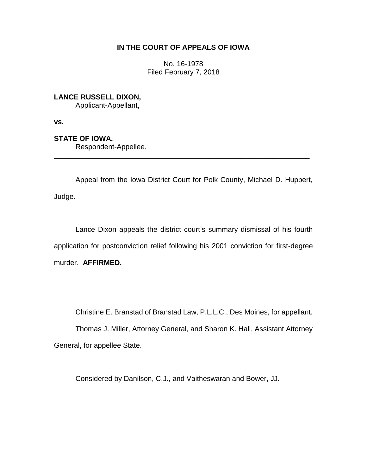# **IN THE COURT OF APPEALS OF IOWA**

No. 16-1978 Filed February 7, 2018

**LANCE RUSSELL DIXON,**

Applicant-Appellant,

**vs.**

**STATE OF IOWA,**

Respondent-Appellee.

Appeal from the Iowa District Court for Polk County, Michael D. Huppert, Judge.

\_\_\_\_\_\_\_\_\_\_\_\_\_\_\_\_\_\_\_\_\_\_\_\_\_\_\_\_\_\_\_\_\_\_\_\_\_\_\_\_\_\_\_\_\_\_\_\_\_\_\_\_\_\_\_\_\_\_\_\_\_\_\_\_

Lance Dixon appeals the district court's summary dismissal of his fourth application for postconviction relief following his 2001 conviction for first-degree murder. **AFFIRMED.**

Christine E. Branstad of Branstad Law, P.L.L.C., Des Moines, for appellant.

Thomas J. Miller, Attorney General, and Sharon K. Hall, Assistant Attorney General, for appellee State.

Considered by Danilson, C.J., and Vaitheswaran and Bower, JJ.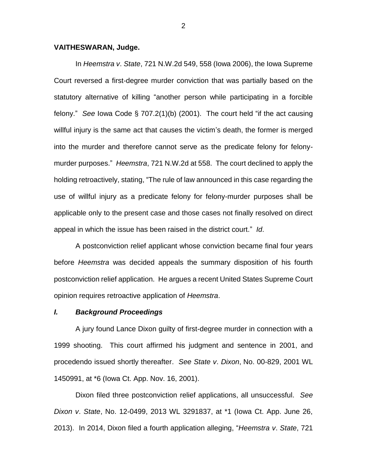### **VAITHESWARAN, Judge.**

In *Heemstra v*. *State*, 721 N.W.2d 549, 558 (Iowa 2006), the Iowa Supreme Court reversed a first-degree murder conviction that was partially based on the statutory alternative of killing "another person while participating in a forcible felony." *See* Iowa Code § 707.2(1)(b) (2001). The court held "if the act causing willful injury is the same act that causes the victim's death, the former is merged into the murder and therefore cannot serve as the predicate felony for felonymurder purposes." *Heemstra*, 721 N.W.2d at 558. The court declined to apply the holding retroactively, stating, "The rule of law announced in this case regarding the use of willful injury as a predicate felony for felony-murder purposes shall be applicable only to the present case and those cases not finally resolved on direct appeal in which the issue has been raised in the district court." *Id*.

A postconviction relief applicant whose conviction became final four years before *Heemstra* was decided appeals the summary disposition of his fourth postconviction relief application. He argues a recent United States Supreme Court opinion requires retroactive application of *Heemstra*.

#### *I. Background Proceedings*

A jury found Lance Dixon guilty of first-degree murder in connection with a 1999 shooting. This court affirmed his judgment and sentence in 2001, and procedendo issued shortly thereafter. *See State v*. *Dixon*, No. 00-829, 2001 WL 1450991, at \*6 (Iowa Ct. App. Nov. 16, 2001).

Dixon filed three postconviction relief applications, all unsuccessful. *See Dixon v*. *State*, No. 12-0499, 2013 WL 3291837, at \*1 (Iowa Ct. App. June 26, 2013). In 2014, Dixon filed a fourth application alleging, "*Heemstra v*. *State*, 721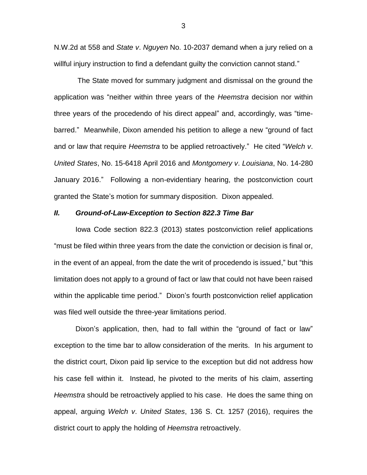N.W.2d at 558 and *State v*. *Nguyen* No. 10-2037 demand when a jury relied on a willful injury instruction to find a defendant guilty the conviction cannot stand."

The State moved for summary judgment and dismissal on the ground the application was "neither within three years of the *Heemstra* decision nor within three years of the procedendo of his direct appeal" and, accordingly, was "timebarred." Meanwhile, Dixon amended his petition to allege a new "ground of fact and or law that require *Heemstra* to be applied retroactively." He cited "*Welch v*. *United States*, No. 15-6418 April 2016 and *Montgomery v*. *Louisiana*, No. 14-280 January 2016." Following a non-evidentiary hearing, the postconviction court granted the State's motion for summary disposition. Dixon appealed.

#### *II. Ground-of-Law-Exception to Section 822***.***3 Time Bar*

Iowa Code section 822.3 (2013) states postconviction relief applications "must be filed within three years from the date the conviction or decision is final or, in the event of an appeal, from the date the writ of procedendo is issued," but "this limitation does not apply to a ground of fact or law that could not have been raised within the applicable time period." Dixon's fourth postconviction relief application was filed well outside the three-year limitations period.

Dixon's application, then, had to fall within the "ground of fact or law" exception to the time bar to allow consideration of the merits. In his argument to the district court, Dixon paid lip service to the exception but did not address how his case fell within it. Instead, he pivoted to the merits of his claim, asserting *Heemstra* should be retroactively applied to his case. He does the same thing on appeal, arguing *Welch v*. *United States*, 136 S. Ct. 1257 (2016), requires the district court to apply the holding of *Heemstra* retroactively.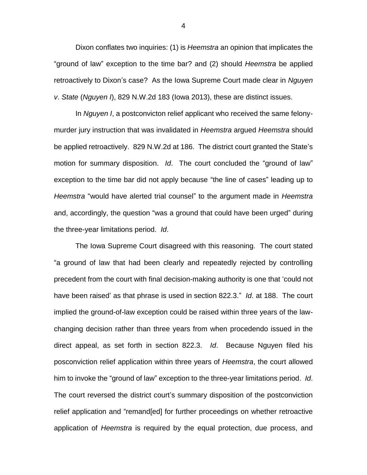Dixon conflates two inquiries: (1) is *Heemstra* an opinion that implicates the "ground of law" exception to the time bar? and (2) should *Heemstra* be applied retroactively to Dixon's case? As the Iowa Supreme Court made clear in *Nguyen v*. *State* (*Nguyen I*), 829 N.W.2d 183 (Iowa 2013), these are distinct issues.

In *Nguyen I*, a postconvicton relief applicant who received the same felonymurder jury instruction that was invalidated in *Heemstra* argued *Heemstra* should be applied retroactively. 829 N.W.2d at 186. The district court granted the State's motion for summary disposition. *Id*. The court concluded the "ground of law" exception to the time bar did not apply because "the line of cases" leading up to *Heemstra* "would have alerted trial counsel" to the argument made in *Heemstra*  and, accordingly, the question "was a ground that could have been urged" during the three-year limitations period. *Id*.

The Iowa Supreme Court disagreed with this reasoning. The court stated "a ground of law that had been clearly and repeatedly rejected by controlling precedent from the court with final decision-making authority is one that 'could not have been raised' as that phrase is used in section 822.3." *Id*. at 188. The court implied the ground-of-law exception could be raised within three years of the lawchanging decision rather than three years from when procedendo issued in the direct appeal, as set forth in section 822.3. *Id*. Because Nguyen filed his posconviction relief application within three years of *Heemstra*, the court allowed him to invoke the "ground of law" exception to the three-year limitations period. *Id*. The court reversed the district court's summary disposition of the postconviction relief application and "remand[ed] for further proceedings on whether retroactive application of *Heemstra* is required by the equal protection, due process, and

4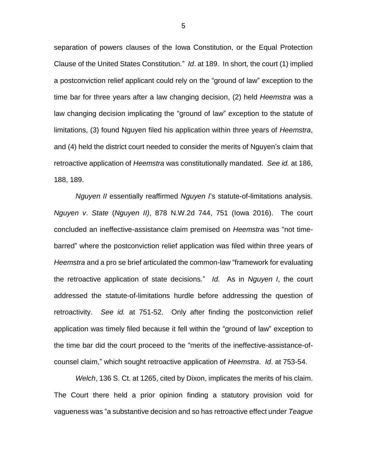separation of powers clauses of the Iowa Constitution, or the Equal Protection Clause of the United States Constitution." *Id*. at 189. In short, the court (1) implied a postconviction relief applicant could rely on the "ground of law" exception to the time bar for three years after a law changing decision, (2) held *Heemstra* was a law changing decision implicating the "ground of law" exception to the statute of limitations, (3) found Nguyen filed his application within three years of *Heemstra*, and (4) held the district court needed to consider the merits of Nguyen's claim that retroactive application of *Heemstra* was constitutionally mandated. *See id.* at 186, 188, 189.

*Nguyen II* essentially reaffirmed *Nguyen I*'s statute-of-limitations analysis. *Nguyen v*. *State* (*Nguyen II)*, 878 N.W.2d 744, 751 (Iowa 2016). The court concluded an ineffective-assistance claim premised on *Heemstra* was "not timebarred" where the postconviction relief application was filed within three years of *Heemstra* and a pro se brief articulated the common-law "framework for evaluating the retroactive application of state decisions." *Id.* As in *Nguyen I*, the court addressed the statute-of-limitations hurdle before addressing the question of retroactivity. *See id.* at 751-52. Only after finding the postconviction relief application was timely filed because it fell within the "ground of law" exception to the time bar did the court proceed to the "merits of the ineffective-assistance-ofcounsel claim," which sought retroactive application of *Heemstra*. *Id*. at 753-54.

*Welch*, 136 S. Ct. at 1265, cited by Dixon, implicates the merits of his claim. The Court there held a prior opinion finding a statutory provision void for vagueness was "a substantive decision and so has retroactive effect under *Teague*

5